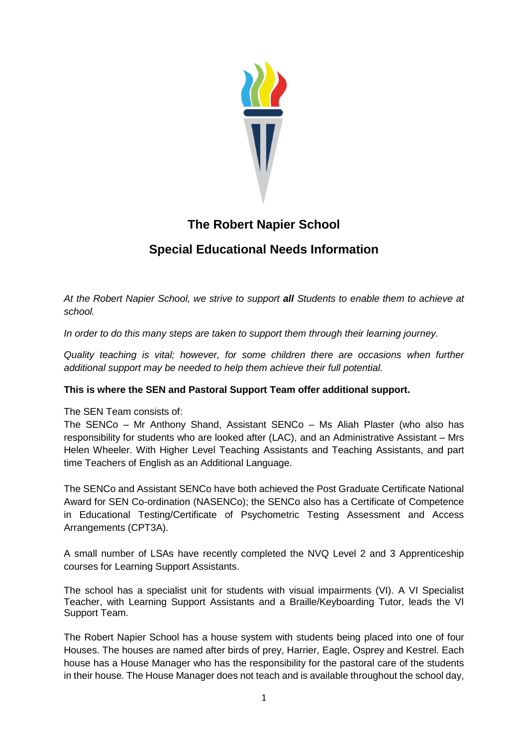

# **The Robert Napier School**

# **Special Educational Needs Information**

*At the Robert Napier School, we strive to support all Students to enable them to achieve at school.*

*In order to do this many steps are taken to support them through their learning journey.*

*Quality teaching is vital; however, for some children there are occasions when further additional support may be needed to help them achieve their full potential.* 

# **This is where the SEN and Pastoral Support Team offer additional support.**

The SEN Team consists of:

The SENCo – Mr Anthony Shand, Assistant SENCo – Ms Aliah Plaster (who also has responsibility for students who are looked after (LAC), and an Administrative Assistant – Mrs Helen Wheeler. With Higher Level Teaching Assistants and Teaching Assistants, and part time Teachers of English as an Additional Language.

The SENCo and Assistant SENCo have both achieved the Post Graduate Certificate National Award for SEN Co-ordination (NASENCo); the SENCo also has a Certificate of Competence in Educational Testing/Certificate of Psychometric Testing Assessment and Access Arrangements (CPT3A).

A small number of LSAs have recently completed the NVQ Level 2 and 3 Apprenticeship courses for Learning Support Assistants.

The school has a specialist unit for students with visual impairments (VI). A VI Specialist Teacher, with Learning Support Assistants and a Braille/Keyboarding Tutor, leads the VI Support Team.

The Robert Napier School has a house system with students being placed into one of four Houses. The houses are named after birds of prey, Harrier, Eagle, Osprey and Kestrel. Each house has a House Manager who has the responsibility for the pastoral care of the students in their house. The House Manager does not teach and is available throughout the school day,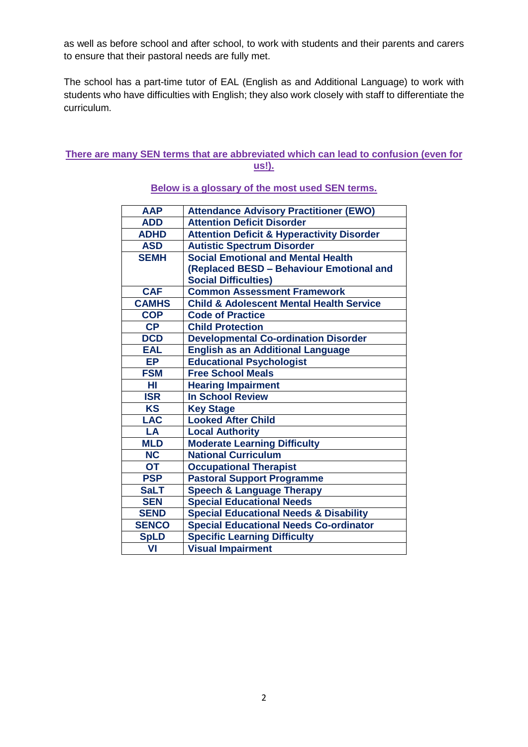as well as before school and after school, to work with students and their parents and carers to ensure that their pastoral needs are fully met.

The school has a part-time tutor of EAL (English as and Additional Language) to work with students who have difficulties with English; they also work closely with staff to differentiate the curriculum.

## **There are many SEN terms that are abbreviated which can lead to confusion (even for us!).**

| <b>AAP</b>      | <b>Attendance Advisory Practitioner (EWO)</b>         |
|-----------------|-------------------------------------------------------|
| <b>ADD</b>      | <b>Attention Deficit Disorder</b>                     |
| <b>ADHD</b>     | <b>Attention Deficit &amp; Hyperactivity Disorder</b> |
| <b>ASD</b>      | <b>Autistic Spectrum Disorder</b>                     |
| <b>SEMH</b>     | <b>Social Emotional and Mental Health</b>             |
|                 | (Replaced BESD - Behaviour Emotional and              |
|                 | <b>Social Difficulties)</b>                           |
| <b>CAF</b>      | <b>Common Assessment Framework</b>                    |
| <b>CAMHS</b>    | <b>Child &amp; Adolescent Mental Health Service</b>   |
| <b>COP</b>      | <b>Code of Practice</b>                               |
| CP              | <b>Child Protection</b>                               |
| <b>DCD</b>      | <b>Developmental Co-ordination Disorder</b>           |
| <b>EAL</b>      | <b>English as an Additional Language</b>              |
| <b>EP</b>       | <b>Educational Psychologist</b>                       |
| <b>FSM</b>      | <b>Free School Meals</b>                              |
| HI              | <b>Hearing Impairment</b>                             |
| <b>ISR</b>      | <b>In School Review</b>                               |
| <b>KS</b>       | <b>Key Stage</b>                                      |
| <b>LAC</b>      | <b>Looked After Child</b>                             |
| LA              | <b>Local Authority</b>                                |
| <b>MLD</b>      | <b>Moderate Learning Difficulty</b>                   |
| <b>NC</b>       | <b>National Curriculum</b>                            |
| $\overline{OT}$ | <b>Occupational Therapist</b>                         |
| <b>PSP</b>      | <b>Pastoral Support Programme</b>                     |
| <b>SaLT</b>     | <b>Speech &amp; Language Therapy</b>                  |
| <b>SEN</b>      | <b>Special Educational Needs</b>                      |
| <b>SEND</b>     | <b>Special Educational Needs &amp; Disability</b>     |
| <b>SENCO</b>    | <b>Special Educational Needs Co-ordinator</b>         |
| <b>SpLD</b>     | <b>Specific Learning Difficulty</b>                   |
| VI              | <b>Visual Impairment</b>                              |
|                 |                                                       |

**Below is a glossary of the most used SEN terms.**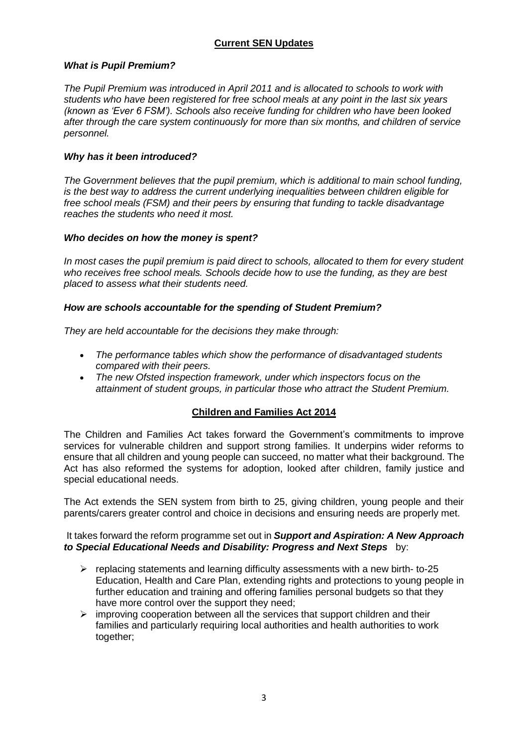# **Current SEN Updates**

## *What is Pupil Premium?*

*The Pupil Premium was introduced in April 2011 and is allocated to schools to work with students who have been registered for free school meals at any point in the last six years (known as 'Ever 6 FSM'). Schools also receive funding for children who have been looked after through the care system continuously for more than six months, and children of service personnel.*

## *Why has it been introduced?*

*The Government believes that the pupil premium, which is additional to main school funding, is the best way to address the current underlying inequalities between children eligible for free school meals (FSM) and their peers by ensuring that funding to tackle disadvantage reaches the students who need it most.*

## *Who decides on how the money is spent?*

*In most cases the pupil premium is paid direct to schools, allocated to them for every student who receives free school meals. Schools decide how to use the funding, as they are best placed to assess what their students need.*

## *How are schools accountable for the spending of Student Premium?*

*They are held accountable for the decisions they make through:*

- *The performance tables which show the performance of disadvantaged students compared with their peers.*
- *The new Ofsted inspection framework, under which inspectors focus on the attainment of student groups, in particular those who attract the Student Premium.*

## **Children and Families Act 2014**

The Children and Families Act takes forward the Government's commitments to improve services for vulnerable children and support strong families. It underpins wider reforms to ensure that all children and young people can succeed, no matter what their background. The Act has also reformed the systems for adoption, looked after children, family justice and special educational needs.

The Act extends the SEN system from birth to 25, giving children, young people and their parents/carers greater control and choice in decisions and ensuring needs are properly met.

## It takes forward the reform programme set out in *Support and Aspiration: A New Approach to Special Educational Needs and Disability: Progress and Next Steps* by:

- $\triangleright$  replacing statements and learning difficulty assessments with a new birth- to-25 Education, Health and Care Plan, extending rights and protections to young people in further education and training and offering families personal budgets so that they have more control over the support they need;
- $\triangleright$  improving cooperation between all the services that support children and their families and particularly requiring local authorities and health authorities to work together: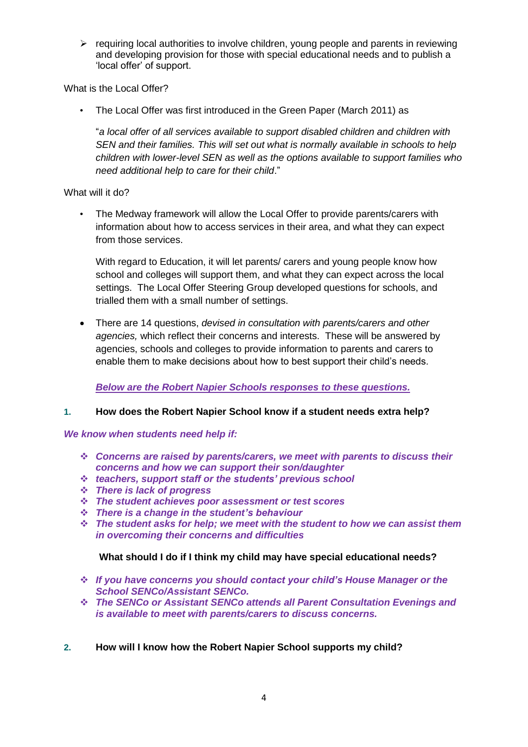$\triangleright$  requiring local authorities to involve children, young people and parents in reviewing and developing provision for those with special educational needs and to publish a 'local offer' of support.

What is the Local Offer?

• The Local Offer was first introduced in the Green Paper (March 2011) as

"*a local offer of all services available to support disabled children and children with SEN and their families. This will set out what is normally available in schools to help children with lower-level SEN as well as the options available to support families who need additional help to care for their child*."

What will it do?

• The Medway framework will allow the Local Offer to provide parents/carers with information about how to access services in their area, and what they can expect from those services.

With regard to Education, it will let parents/ carers and young people know how school and colleges will support them, and what they can expect across the local settings. The Local Offer Steering Group developed questions for schools, and trialled them with a small number of settings.

 There are 14 questions, *devised in consultation with parents/carers and other agencies,* which reflect their concerns and interests. These will be answered by agencies, schools and colleges to provide information to parents and carers to enable them to make decisions about how to best support their child's needs.

*Below are the Robert Napier Schools responses to these questions.*

## **1. How does the Robert Napier School know if a student needs extra help?**

*We know when students need help if:*

- *Concerns are raised by parents/carers, we meet with parents to discuss their concerns and how we can support their son/daughter*
- *teachers, support staff or the students' previous school*
- *There is lack of progress*
- *The student achieves poor assessment or test scores*
- *There is a change in the student's behaviour*
- *The student asks for help; we meet with the student to how we can assist them in overcoming their concerns and difficulties*

## **What should I do if I think my child may have special educational needs?**

- *If you have concerns you should contact your child's House Manager or the School SENCo/Assistant SENCo.*
- *The SENCo or Assistant SENCo attends all Parent Consultation Evenings and is available to meet with parents/carers to discuss concerns.*
- **2. How will I know how the Robert Napier School supports my child?**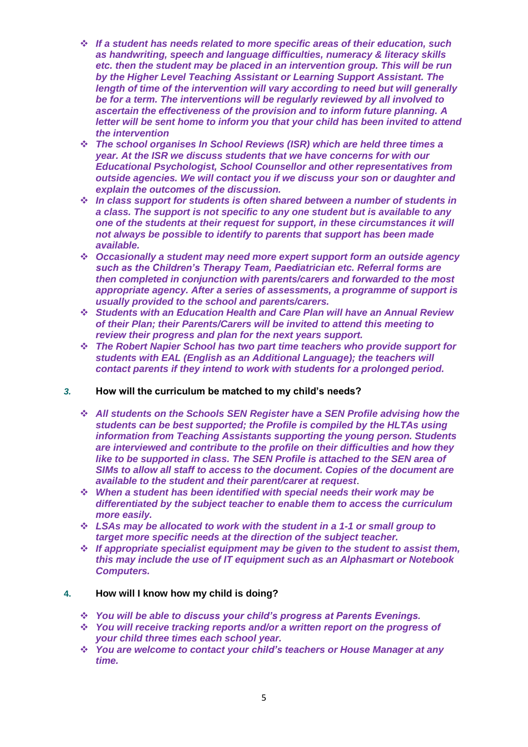- *If a student has needs related to more specific areas of their education, such as handwriting, speech and language difficulties, numeracy & literacy skills etc. then the student may be placed in an intervention group. This will be run by the Higher Level Teaching Assistant or Learning Support Assistant. The length of time of the intervention will vary according to need but will generally be for a term. The interventions will be regularly reviewed by all involved to ascertain the effectiveness of the provision and to inform future planning. A letter will be sent home to inform you that your child has been invited to attend the intervention*
- *The school organises In School Reviews (ISR) which are held three times a year. At the ISR we discuss students that we have concerns for with our Educational Psychologist, School Counsellor and other representatives from outside agencies. We will contact you if we discuss your son or daughter and explain the outcomes of the discussion.*
- *In class support for students is often shared between a number of students in a class. The support is not specific to any one student but is available to any one of the students at their request for support, in these circumstances it will not always be possible to identify to parents that support has been made available.*
- *Occasionally a student may need more expert support form an outside agency such as the Children's Therapy Team, Paediatrician etc. Referral forms are then completed in conjunction with parents/carers and forwarded to the most appropriate agency. After a series of assessments, a programme of support is usually provided to the school and parents/carers.*
- *Students with an Education Health and Care Plan will have an Annual Review of their Plan; their Parents/Carers will be invited to attend this meeting to review their progress and plan for the next years support.*
- *The Robert Napier School has two part time teachers who provide support for students with EAL (English as an Additional Language); the teachers will contact parents if they intend to work with students for a prolonged period.*

## *3.* **How will the curriculum be matched to my child's needs?**

- *All students on the Schools SEN Register have a SEN Profile advising how the students can be best supported; the Profile is compiled by the HLTAs using information from Teaching Assistants supporting the young person. Students are interviewed and contribute to the profile on their difficulties and how they like to be supported in class. The SEN Profile is attached to the SEN area of SIMs to allow all staff to access to the document. Copies of the document are available to the student and their parent/carer at request*.
- *When a student has been identified with special needs their work may be differentiated by the subject teacher to enable them to access the curriculum more easily.*
- *LSAs may be allocated to work with the student in a 1-1 or small group to target more specific needs at the direction of the subject teacher.*
- *If appropriate specialist equipment may be given to the student to assist them, this may include the use of IT equipment such as an Alphasmart or Notebook Computers.*

## **4. How will I know how my child is doing?**

- *You will be able to discuss your child's progress at Parents Evenings.*
- *You will receive tracking reports and/or a written report on the progress of your child three times each school year.*
- *You are welcome to contact your child's teachers or House Manager at any time.*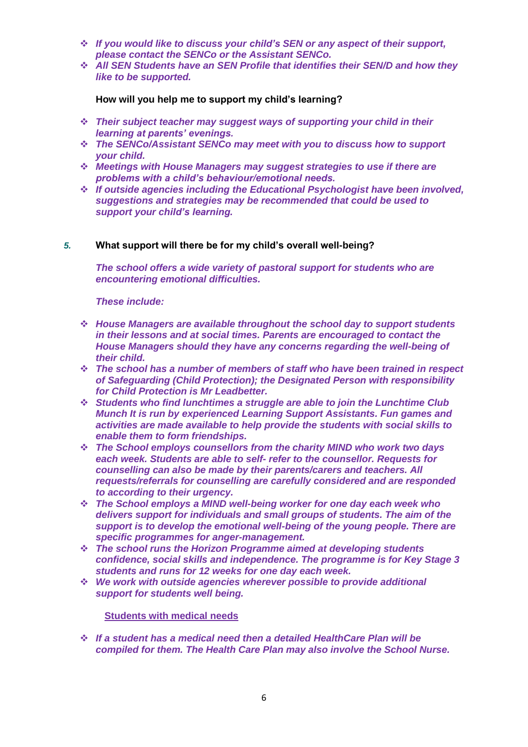- *If you would like to discuss your child's SEN or any aspect of their support, please contact the SENCo or the Assistant SENCo.*
- *All SEN Students have an SEN Profile that identifies their SEN/D and how they like to be supported.*

**How will you help me to support my child's learning?**

- *Their subject teacher may suggest ways of supporting your child in their learning at parents' evenings.*
- *The SENCo/Assistant SENCo may meet with you to discuss how to support your child.*
- *Meetings with House Managers may suggest strategies to use if there are problems with a child's behaviour/emotional needs.*
- *If outside agencies including the Educational Psychologist have been involved, suggestions and strategies may be recommended that could be used to support your child's learning.*

## *5.* **What support will there be for my child's overall well-being?**

*The school offers a wide variety of pastoral support for students who are encountering emotional difficulties.*

*These include:*

- *House Managers are available throughout the school day to support students in their lessons and at social times. Parents are encouraged to contact the House Managers should they have any concerns regarding the well-being of their child.*
- *The school has a number of members of staff who have been trained in respect of Safeguarding (Child Protection); the Designated Person with responsibility for Child Protection is Mr Leadbetter.*
- *Students who find lunchtimes a struggle are able to join the Lunchtime Club Munch It is run by experienced Learning Support Assistants. Fun games and activities are made available to help provide the students with social skills to enable them to form friendships.*
- *The School employs counsellors from the charity MIND who work two days each week. Students are able to self- refer to the counsellor. Requests for counselling can also be made by their parents/carers and teachers. All requests/referrals for counselling are carefully considered and are responded to according to their urgency.*
- *The School employs a MIND well-being worker for one day each week who delivers support for individuals and small groups of students. The aim of the support is to develop the emotional well-being of the young people. There are specific programmes for anger-management.*
- *The school runs the Horizon Programme aimed at developing students confidence, social skills and independence. The programme is for Key Stage 3 students and runs for 12 weeks for one day each week.*
- *We work with outside agencies wherever possible to provide additional support for students well being.*

 **Students with medical needs**

 *If a student has a medical need then a detailed HealthCare Plan will be compiled for them. The Health Care Plan may also involve the School Nurse.*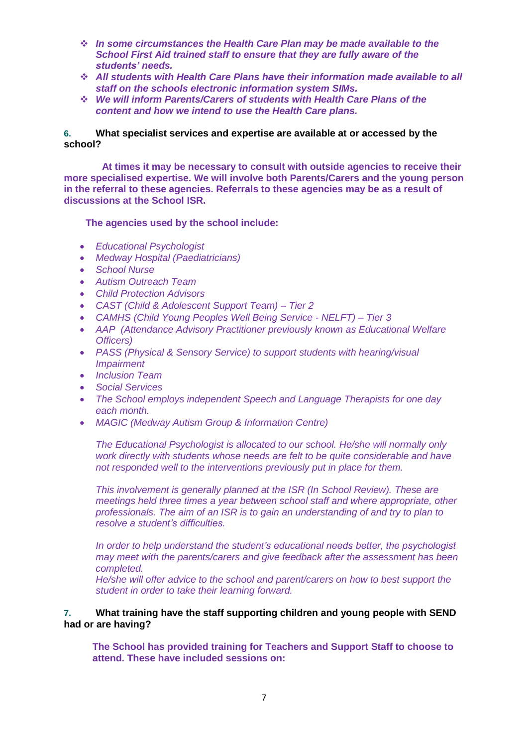- *In some circumstances the Health Care Plan may be made available to the School First Aid trained staff to ensure that they are fully aware of the students' needs.*
- *All students with Health Care Plans have their information made available to all staff on the schools electronic information system SIMs.*
- *We will inform Parents/Carers of students with Health Care Plans of the content and how we intend to use the Health Care plans.*

## **6. What specialist services and expertise are available at or accessed by the school?**

 **At times it may be necessary to consult with outside agencies to receive their more specialised expertise. We will involve both Parents/Carers and the young person in the referral to these agencies. Referrals to these agencies may be as a result of discussions at the School ISR.**

#### **The agencies used by the school include:**

- *Educational Psychologist*
- *Medway Hospital (Paediatricians)*
- *School Nurse*
- *Autism Outreach Team*
- *Child Protection Advisors*
- *CAST (Child & Adolescent Support Team) – Tier 2*
- *CAMHS (Child Young Peoples Well Being Service - NELFT) – Tier 3*
- *AAP (Attendance Advisory Practitioner previously known as Educational Welfare Officers)*
- *PASS (Physical & Sensory Service) to support students with hearing/visual Impairment*
- *Inclusion Team*
- *Social Services*
- *The School employs independent Speech and Language Therapists for one day each month.*
- *MAGIC (Medway Autism Group & Information Centre)*

*The Educational Psychologist is allocated to our school. He/she will normally only work directly with students whose needs are felt to be quite considerable and have not responded well to the interventions previously put in place for them.*

*This involvement is generally planned at the ISR (In School Review). These are meetings held three times a year between school staff and where appropriate, other professionals. The aim of an ISR is to gain an understanding of and try to plan to resolve a student's difficulties.*

*In order to help understand the student's educational needs better, the psychologist may meet with the parents/carers and give feedback after the assessment has been completed.*

*He/she will offer advice to the school and parent/carers on how to best support the student in order to take their learning forward.*

## **7. What training have the staff supporting children and young people with SEND had or are having?**

**The School has provided training for Teachers and Support Staff to choose to attend. These have included sessions on:**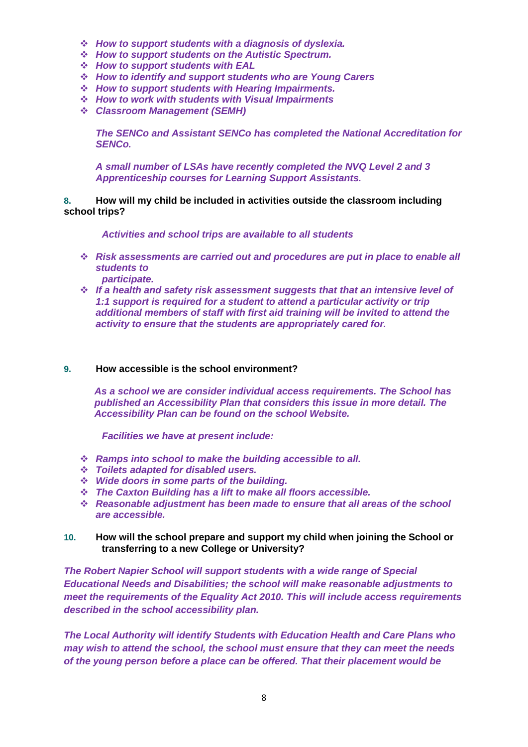- *How to support students with a diagnosis of dyslexia.*
- *How to support students on the Autistic Spectrum.*
- *How to support students with EAL*
- *How to identify and support students who are Young Carers*
- *How to support students with Hearing Impairments.*
- *How to work with students with Visual Impairments*
- *Classroom Management (SEMH)*

*The SENCo and Assistant SENCo has completed the National Accreditation for SENCo.* 

*A small number of LSAs have recently completed the NVQ Level 2 and 3 Apprenticeship courses for Learning Support Assistants.*

**8. How will my child be included in activities outside the classroom including school trips?**

 *Activities and school trips are available to all students*

- *Risk assessments are carried out and procedures are put in place to enable all students to participate.*
- *If a health and safety risk assessment suggests that that an intensive level of 1:1 support is required for a student to attend a particular activity or trip additional members of staff with first aid training will be invited to attend the activity to ensure that the students are appropriately cared for.*

#### **9. How accessible is the school environment?**

*As a school we are consider individual access requirements. The School has published an Accessibility Plan that considers this issue in more detail. The Accessibility Plan can be found on the school Website.*

 *Facilities we have at present include:*

- *Ramps into school to make the building accessible to all.*
- *Toilets adapted for disabled users.*
- *Wide doors in some parts of the building.*
- *The Caxton Building has a lift to make all floors accessible.*
- *Reasonable adjustment has been made to ensure that all areas of the school are accessible.*

## **10. How will the school prepare and support my child when joining the School or transferring to a new College or University?**

*The Robert Napier School will support students with a wide range of Special Educational Needs and Disabilities; the school will make reasonable adjustments to meet the requirements of the Equality Act 2010. This will include access requirements described in the school accessibility plan.* 

*The Local Authority will identify Students with Education Health and Care Plans who may wish to attend the school, the school must ensure that they can meet the needs of the young person before a place can be offered. That their placement would be*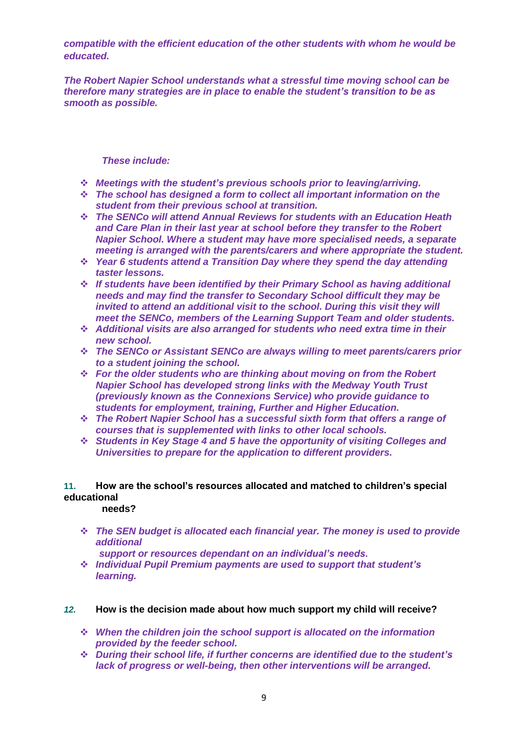*compatible with the efficient education of the other students with whom he would be educated.*

*The Robert Napier School understands what a stressful time moving school can be therefore many strategies are in place to enable the student's transition to be as smooth as possible.*

## *These include:*

- *Meetings with the student's previous schools prior to leaving/arriving.*
- *The school has designed a form to collect all important information on the student from their previous school at transition.*
- *The SENCo will attend Annual Reviews for students with an Education Heath and Care Plan in their last year at school before they transfer to the Robert Napier School. Where a student may have more specialised needs, a separate meeting is arranged with the parents/carers and where appropriate the student.*
- *Year 6 students attend a Transition Day where they spend the day attending taster lessons.*
- *If students have been identified by their Primary School as having additional needs and may find the transfer to Secondary School difficult they may be invited to attend an additional visit to the school. During this visit they will meet the SENCo, members of the Learning Support Team and older students.*
- *Additional visits are also arranged for students who need extra time in their new school.*
- *The SENCo or Assistant SENCo are always willing to meet parents/carers prior to a student joining the school.*
- *For the older students who are thinking about moving on from the Robert Napier School has developed strong links with the Medway Youth Trust (previously known as the Connexions Service) who provide guidance to students for employment, training, Further and Higher Education.*
- *The Robert Napier School has a successful sixth form that offers a range of courses that is supplemented with links to other local schools.*
- *Students in Key Stage 4 and 5 have the opportunity of visiting Colleges and Universities to prepare for the application to different providers.*

## **11. How are the school's resources allocated and matched to children's special educational**

#### **needs?**

- *The SEN budget is allocated each financial year. The money is used to provide additional* 
	- *support or resources dependant on an individual's needs.*
- *Individual Pupil Premium payments are used to support that student's learning.*

#### *12.* **How is the decision made about how much support my child will receive?**

- *When the children join the school support is allocated on the information provided by the feeder school.*
- *During their school life, if further concerns are identified due to the student's lack of progress or well-being, then other interventions will be arranged.*